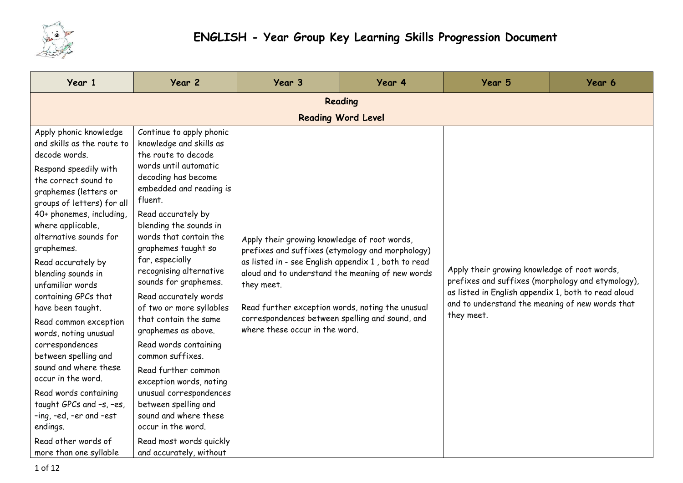

| Year 1                                                                                                                                                                                                                                                                                                                                                                                                                                                                                                                                                                                                                                                                       | Year 2                                                                                                                                                                                                                                                                                                                                                                                                                                                                                                                                                                                                                                                                                               | Year 3                                                                                                                                                                                                                                                                                                                                                             | Year 4 | Year 5                                                                                                                                                                                                                    | Year 6 |  |  |  |
|------------------------------------------------------------------------------------------------------------------------------------------------------------------------------------------------------------------------------------------------------------------------------------------------------------------------------------------------------------------------------------------------------------------------------------------------------------------------------------------------------------------------------------------------------------------------------------------------------------------------------------------------------------------------------|------------------------------------------------------------------------------------------------------------------------------------------------------------------------------------------------------------------------------------------------------------------------------------------------------------------------------------------------------------------------------------------------------------------------------------------------------------------------------------------------------------------------------------------------------------------------------------------------------------------------------------------------------------------------------------------------------|--------------------------------------------------------------------------------------------------------------------------------------------------------------------------------------------------------------------------------------------------------------------------------------------------------------------------------------------------------------------|--------|---------------------------------------------------------------------------------------------------------------------------------------------------------------------------------------------------------------------------|--------|--|--|--|
| Reading                                                                                                                                                                                                                                                                                                                                                                                                                                                                                                                                                                                                                                                                      |                                                                                                                                                                                                                                                                                                                                                                                                                                                                                                                                                                                                                                                                                                      |                                                                                                                                                                                                                                                                                                                                                                    |        |                                                                                                                                                                                                                           |        |  |  |  |
| <b>Reading Word Level</b>                                                                                                                                                                                                                                                                                                                                                                                                                                                                                                                                                                                                                                                    |                                                                                                                                                                                                                                                                                                                                                                                                                                                                                                                                                                                                                                                                                                      |                                                                                                                                                                                                                                                                                                                                                                    |        |                                                                                                                                                                                                                           |        |  |  |  |
| Apply phonic knowledge<br>and skills as the route to<br>decode words.<br>Respond speedily with<br>the correct sound to<br>graphemes (letters or<br>groups of letters) for all<br>40+ phonemes, including,<br>where applicable,<br>alternative sounds for<br>graphemes.<br>Read accurately by<br>blending sounds in<br>unfamiliar words<br>containing GPCs that<br>have been taught.<br>Read common exception<br>words, noting unusual<br>correspondences<br>between spelling and<br>sound and where these<br>occur in the word.<br>Read words containing<br>taught GPCs and -s, -es,<br>-ing, -ed, -er and -est<br>endings.<br>Read other words of<br>more than one syllable | Continue to apply phonic<br>knowledge and skills as<br>the route to decode<br>words until automatic<br>decoding has become<br>embedded and reading is<br>fluent.<br>Read accurately by<br>blending the sounds in<br>words that contain the<br>graphemes taught so<br>far, especially<br>recognising alternative<br>sounds for graphemes.<br>Read accurately words<br>of two or more syllables<br>that contain the same<br>graphemes as above.<br>Read words containing<br>common suffixes.<br>Read further common<br>exception words, noting<br>unusual correspondences<br>between spelling and<br>sound and where these<br>occur in the word.<br>Read most words quickly<br>and accurately, without | Apply their growing knowledge of root words,<br>prefixes and suffixes (etymology and morphology)<br>as listed in - see English appendix 1, both to read<br>aloud and to understand the meaning of new words<br>they meet.<br>Read further exception words, noting the unusual<br>correspondences between spelling and sound, and<br>where these occur in the word. |        | Apply their growing knowledge of root words,<br>prefixes and suffixes (morphology and etymology),<br>as listed in English appendix 1, both to read aloud<br>and to understand the meaning of new words that<br>they meet. |        |  |  |  |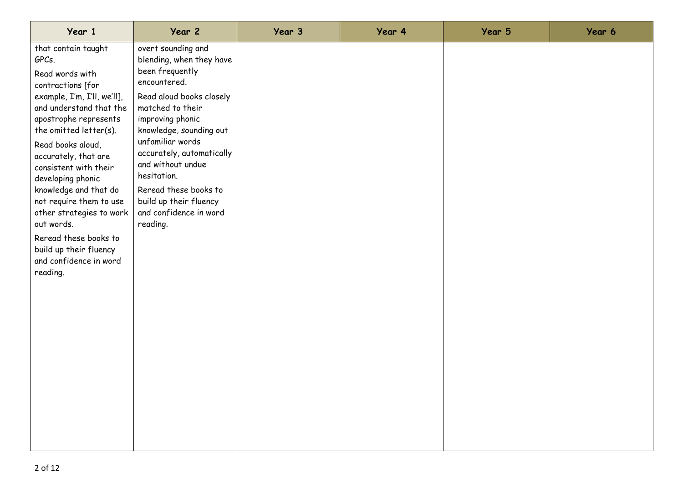| Year 1                                                                                                                                                                                                                                                                                                                                                                                                                                                              | Year 2                                                                                                                                                                                                                                                                                                                                                         | Year 3 | Year 4 | Year 5 | Year 6 |
|---------------------------------------------------------------------------------------------------------------------------------------------------------------------------------------------------------------------------------------------------------------------------------------------------------------------------------------------------------------------------------------------------------------------------------------------------------------------|----------------------------------------------------------------------------------------------------------------------------------------------------------------------------------------------------------------------------------------------------------------------------------------------------------------------------------------------------------------|--------|--------|--------|--------|
| that contain taught<br>GPCs.<br>Read words with<br>contractions [for<br>example, I'm, I'll, we'll],<br>and understand that the<br>apostrophe represents<br>the omitted letter(s).<br>Read books aloud,<br>accurately, that are<br>consistent with their<br>developing phonic<br>knowledge and that do<br>not require them to use<br>other strategies to work<br>out words.<br>Reread these books to<br>build up their fluency<br>and confidence in word<br>reading. | overt sounding and<br>blending, when they have<br>been frequently<br>encountered.<br>Read aloud books closely<br>matched to their<br>improving phonic<br>knowledge, sounding out<br>unfamiliar words<br>accurately, automatically<br>and without undue<br>hesitation.<br>Reread these books to<br>build up their fluency<br>and confidence in word<br>reading. |        |        |        |        |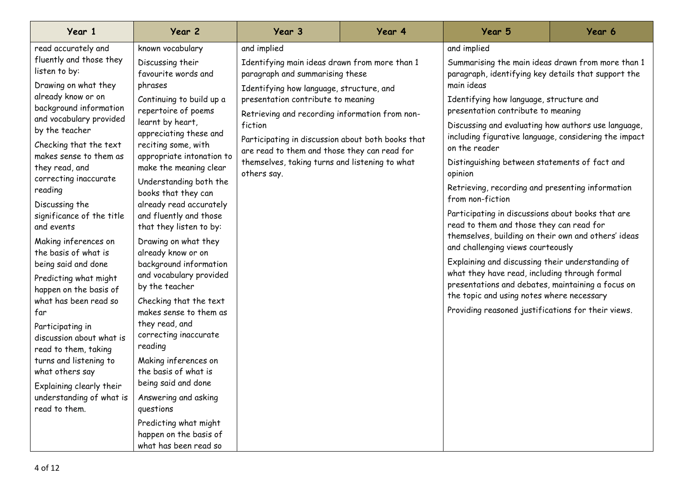| Year 1                                                                                                                                                                                                                                                                                                                                                                                                                       | Year 2                                                                                                                                                                                                                                                                                                                                                                                                                                         | Year 3                                                                                                                                                                                                                                                                                                                                                                                                               | Year 4 | Year 5                                                                                                                                                                                                                                                                                                                                                                                                                                                                                                                         | Year 6 |
|------------------------------------------------------------------------------------------------------------------------------------------------------------------------------------------------------------------------------------------------------------------------------------------------------------------------------------------------------------------------------------------------------------------------------|------------------------------------------------------------------------------------------------------------------------------------------------------------------------------------------------------------------------------------------------------------------------------------------------------------------------------------------------------------------------------------------------------------------------------------------------|----------------------------------------------------------------------------------------------------------------------------------------------------------------------------------------------------------------------------------------------------------------------------------------------------------------------------------------------------------------------------------------------------------------------|--------|--------------------------------------------------------------------------------------------------------------------------------------------------------------------------------------------------------------------------------------------------------------------------------------------------------------------------------------------------------------------------------------------------------------------------------------------------------------------------------------------------------------------------------|--------|
| read accurately and<br>fluently and those they<br>listen to by:<br>Drawing on what they<br>already know or on<br>background information<br>and vocabulary provided<br>by the teacher<br>Checking that the text<br>makes sense to them as<br>they read, and<br>correcting inaccurate                                                                                                                                          | known vocabulary<br>Discussing their<br>favourite words and<br>phrases<br>Continuing to build up a<br>repertoire of poems<br>learnt by heart,<br>appreciating these and<br>reciting some, with<br>appropriate intonation to<br>make the meaning clear<br>Understanding both the                                                                                                                                                                | and implied<br>Identifying main ideas drawn from more than 1<br>paragraph and summarising these<br>Identifying how language, structure, and<br>presentation contribute to meaning<br>Retrieving and recording information from non-<br>fiction<br>Participating in discussion about both books that<br>are read to them and those they can read for<br>themselves, taking turns and listening to what<br>others say. |        | and implied<br>Summarising the main ideas drawn from more than 1<br>paragraph, identifying key details that support the<br>main ideas<br>Identifying how language, structure and<br>presentation contribute to meaning<br>Discussing and evaluating how authors use language,<br>including figurative language, considering the impact<br>on the reader<br>Distinguishing between statements of fact and<br>opinion                                                                                                            |        |
| reading<br>Discussing the<br>significance of the title<br>and events<br>Making inferences on<br>the basis of what is<br>being said and done<br>Predicting what might<br>happen on the basis of<br>what has been read so<br>far<br>Participating in<br>discussion about what is<br>read to them, taking<br>turns and listening to<br>what others say<br>Explaining clearly their<br>understanding of what is<br>read to them. | books that they can<br>already read accurately<br>and fluently and those<br>that they listen to by:<br>Drawing on what they<br>already know or on<br>background information<br>and vocabulary provided<br>by the teacher<br>Checking that the text<br>makes sense to them as<br>they read, and<br>correcting inaccurate<br>reading<br>Making inferences on<br>the basis of what is<br>being said and done<br>Answering and asking<br>questions |                                                                                                                                                                                                                                                                                                                                                                                                                      |        | Retrieving, recording and presenting information<br>from non-fiction<br>Participating in discussions about books that are<br>read to them and those they can read for<br>themselves, building on their own and others' ideas<br>and challenging views courteously<br>Explaining and discussing their understanding of<br>what they have read, including through formal<br>presentations and debates, maintaining a focus on<br>the topic and using notes where necessary<br>Providing reasoned justifications for their views. |        |
|                                                                                                                                                                                                                                                                                                                                                                                                                              | Predicting what might<br>happen on the basis of<br>what has been read so                                                                                                                                                                                                                                                                                                                                                                       |                                                                                                                                                                                                                                                                                                                                                                                                                      |        |                                                                                                                                                                                                                                                                                                                                                                                                                                                                                                                                |        |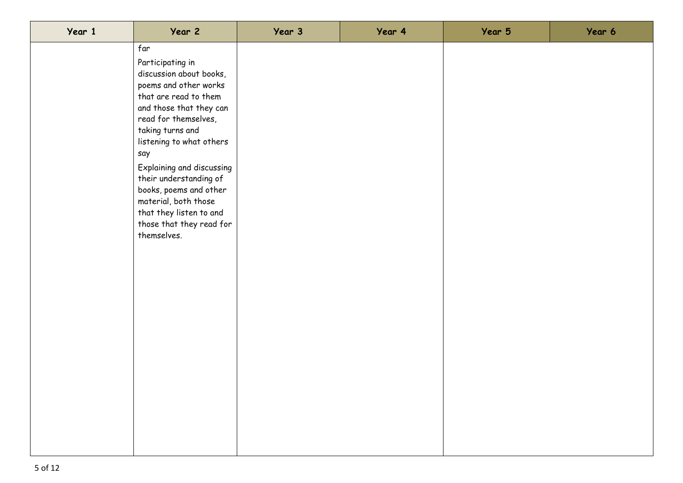| Year 1 | Year 2                                                                                                                                                                                                                                                                                                                                                                                        | Year 3 | Year 4 | Year 5 | Year 6 |
|--------|-----------------------------------------------------------------------------------------------------------------------------------------------------------------------------------------------------------------------------------------------------------------------------------------------------------------------------------------------------------------------------------------------|--------|--------|--------|--------|
|        | far<br>Participating in<br>discussion about books,<br>poems and other works<br>that are read to them<br>and those that they can<br>read for themselves,<br>taking turns and<br>listening to what others<br>say<br>Explaining and discussing<br>their understanding of<br>books, poems and other<br>material, both those<br>that they listen to and<br>those that they read for<br>themselves. |        |        |        |        |
|        |                                                                                                                                                                                                                                                                                                                                                                                               |        |        |        |        |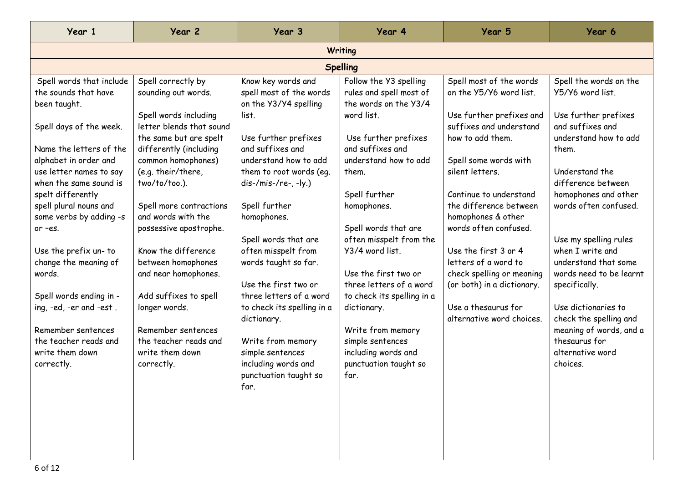| Year 1                                                                                                                                                                                                                                                                                                                                                                                                                                                                                      | Year 2                                                                                                                                                                                                                                                                                                                                                                                                                                                                                    | Year 3                                                                                                                                                                                                                                                                                                                                                                                                                                                                                                          | Year 4                                                                                                                                                                                                                                                                                                                                                                                                                                                                        | Year 5                                                                                                                                                                                                                                                                                                                                                                                                                                      | Year 6                                                                                                                                                                                                                                                                                                                                                                                                                                                          |  |  |  |  |
|---------------------------------------------------------------------------------------------------------------------------------------------------------------------------------------------------------------------------------------------------------------------------------------------------------------------------------------------------------------------------------------------------------------------------------------------------------------------------------------------|-------------------------------------------------------------------------------------------------------------------------------------------------------------------------------------------------------------------------------------------------------------------------------------------------------------------------------------------------------------------------------------------------------------------------------------------------------------------------------------------|-----------------------------------------------------------------------------------------------------------------------------------------------------------------------------------------------------------------------------------------------------------------------------------------------------------------------------------------------------------------------------------------------------------------------------------------------------------------------------------------------------------------|-------------------------------------------------------------------------------------------------------------------------------------------------------------------------------------------------------------------------------------------------------------------------------------------------------------------------------------------------------------------------------------------------------------------------------------------------------------------------------|---------------------------------------------------------------------------------------------------------------------------------------------------------------------------------------------------------------------------------------------------------------------------------------------------------------------------------------------------------------------------------------------------------------------------------------------|-----------------------------------------------------------------------------------------------------------------------------------------------------------------------------------------------------------------------------------------------------------------------------------------------------------------------------------------------------------------------------------------------------------------------------------------------------------------|--|--|--|--|
|                                                                                                                                                                                                                                                                                                                                                                                                                                                                                             | Writing                                                                                                                                                                                                                                                                                                                                                                                                                                                                                   |                                                                                                                                                                                                                                                                                                                                                                                                                                                                                                                 |                                                                                                                                                                                                                                                                                                                                                                                                                                                                               |                                                                                                                                                                                                                                                                                                                                                                                                                                             |                                                                                                                                                                                                                                                                                                                                                                                                                                                                 |  |  |  |  |
|                                                                                                                                                                                                                                                                                                                                                                                                                                                                                             | <b>Spelling</b>                                                                                                                                                                                                                                                                                                                                                                                                                                                                           |                                                                                                                                                                                                                                                                                                                                                                                                                                                                                                                 |                                                                                                                                                                                                                                                                                                                                                                                                                                                                               |                                                                                                                                                                                                                                                                                                                                                                                                                                             |                                                                                                                                                                                                                                                                                                                                                                                                                                                                 |  |  |  |  |
| Spell words that include<br>the sounds that have<br>been taught.<br>Spell days of the week.<br>Name the letters of the<br>alphabet in order and<br>use letter names to say<br>when the same sound is<br>spelt differently<br>spell plural nouns and<br>some verbs by adding -s<br>or -es.<br>Use the prefix un- to<br>change the meaning of<br>words.<br>Spell words ending in -<br>ing, -ed, -er and -est.<br>Remember sentences<br>the teacher reads and<br>write them down<br>correctly. | Spell correctly by<br>sounding out words.<br>Spell words including<br>letter blends that sound<br>the same but are spelt<br>differently (including<br>common homophones)<br>(e.g. their/there,<br>two/to/too.).<br>Spell more contractions<br>and words with the<br>possessive apostrophe.<br>Know the difference<br>between homophones<br>and near homophones.<br>Add suffixes to spell<br>longer words.<br>Remember sentences<br>the teacher reads and<br>write them down<br>correctly. | Know key words and<br>spell most of the words<br>on the Y3/Y4 spelling<br>list.<br>Use further prefixes<br>and suffixes and<br>understand how to add<br>them to root words (eq.<br>dis-/mis-/re-, -ly.)<br>Spell further<br>homophones.<br>Spell words that are<br>often misspelt from<br>words taught so far.<br>Use the first two or<br>three letters of a word<br>to check its spelling in a<br>dictionary.<br>Write from memory<br>simple sentences<br>including words and<br>punctuation taught so<br>tar. | Follow the Y3 spelling<br>rules and spell most of<br>the words on the Y3/4<br>word list.<br>Use further prefixes<br>and suffixes and<br>understand how to add<br>them.<br>Spell further<br>homophones.<br>Spell words that are<br>often misspelt from the<br>Y3/4 word list.<br>Use the first two or<br>three letters of a word<br>to check its spelling in a<br>dictionary.<br>Write from memory<br>simple sentences<br>including words and<br>punctuation taught so<br>far. | Spell most of the words<br>on the Y5/Y6 word list.<br>Use further prefixes and<br>suffixes and understand<br>how to add them.<br>Spell some words with<br>silent letters.<br>Continue to understand<br>the difference between<br>homophones & other<br>words often confused.<br>Use the first 3 or 4<br>letters of a word to<br>check spelling or meaning<br>(or both) in a dictionary.<br>Use a thesaurus for<br>alternative word choices. | Spell the words on the<br>Y5/Y6 word list.<br>Use further prefixes<br>and suffixes and<br>understand how to add<br>them.<br>Understand the<br>difference between<br>homophones and other<br>words often confused.<br>Use my spelling rules<br>when I write and<br>understand that some<br>words need to be learnt<br>specifically.<br>Use dictionaries to<br>check the spelling and<br>meaning of words, and a<br>thesaurus for<br>alternative word<br>choices. |  |  |  |  |
|                                                                                                                                                                                                                                                                                                                                                                                                                                                                                             |                                                                                                                                                                                                                                                                                                                                                                                                                                                                                           |                                                                                                                                                                                                                                                                                                                                                                                                                                                                                                                 |                                                                                                                                                                                                                                                                                                                                                                                                                                                                               |                                                                                                                                                                                                                                                                                                                                                                                                                                             |                                                                                                                                                                                                                                                                                                                                                                                                                                                                 |  |  |  |  |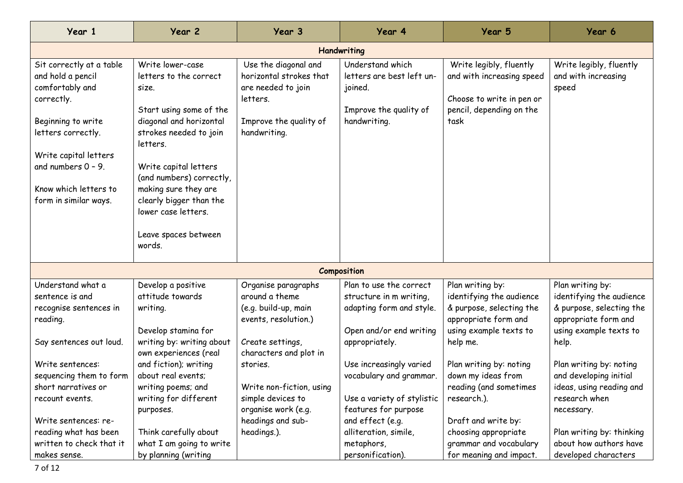| Year 1                                                                                                                                                                                                                         | Year 2                                                                                                                                                                                                                                                                                                           | Year 3                                                                                                                              | Year 4                                                                                                                                                                                   | Year 5                                                                                                                                                                                     | Year 6                                                                                                                                                                                      |  |  |  |
|--------------------------------------------------------------------------------------------------------------------------------------------------------------------------------------------------------------------------------|------------------------------------------------------------------------------------------------------------------------------------------------------------------------------------------------------------------------------------------------------------------------------------------------------------------|-------------------------------------------------------------------------------------------------------------------------------------|------------------------------------------------------------------------------------------------------------------------------------------------------------------------------------------|--------------------------------------------------------------------------------------------------------------------------------------------------------------------------------------------|---------------------------------------------------------------------------------------------------------------------------------------------------------------------------------------------|--|--|--|
| Handwriting                                                                                                                                                                                                                    |                                                                                                                                                                                                                                                                                                                  |                                                                                                                                     |                                                                                                                                                                                          |                                                                                                                                                                                            |                                                                                                                                                                                             |  |  |  |
| Sit correctly at a table<br>and hold a pencil<br>comfortably and<br>correctly.<br>Beginning to write<br>letters correctly.<br>Write capital letters<br>and numbers $0 - 9$ .<br>Know which letters to<br>form in similar ways. | Write lower-case<br>letters to the correct<br>size.<br>Start using some of the<br>diagonal and horizontal<br>strokes needed to join<br>letters.<br>Write capital letters<br>(and numbers) correctly,<br>making sure they are<br>clearly bigger than the<br>lower case letters.<br>Leave spaces between<br>words. | Use the diagonal and<br>horizontal strokes that<br>are needed to join<br>letters.<br>Improve the quality of<br>handwriting.         | Understand which<br>letters are best left un-<br>joined.<br>Improve the quality of<br>handwriting.                                                                                       | Write legibly, fluently<br>and with increasing speed<br>Choose to write in pen or<br>pencil, depending on the<br>task                                                                      | Write legibly, fluently<br>and with increasing<br>speed                                                                                                                                     |  |  |  |
|                                                                                                                                                                                                                                |                                                                                                                                                                                                                                                                                                                  |                                                                                                                                     | Composition                                                                                                                                                                              |                                                                                                                                                                                            |                                                                                                                                                                                             |  |  |  |
| Understand what a<br>sentence is and<br>recognise sentences in<br>reading.<br>Say sentences out loud.                                                                                                                          | Develop a positive<br>attitude towards<br>writing.<br>Develop stamina for<br>writing by: writing about<br>own experiences (real                                                                                                                                                                                  | Organise paragraphs<br>around a theme<br>(e.g. build-up, main<br>events, resolution.)<br>Create settings,<br>characters and plot in | Plan to use the correct<br>structure in m writing,<br>adapting form and style.<br>Open and/or end writing<br>appropriately.                                                              | Plan writing by:<br>identifying the audience<br>& purpose, selecting the<br>appropriate form and<br>using example texts to<br>help me.                                                     | Plan writing by:<br>identifying the audience<br>& purpose, selecting the<br>appropriate form and<br>using example texts to<br>help.                                                         |  |  |  |
| Write sentences:<br>sequencing them to form<br>short narratives or<br>recount events.<br>Write sentences: re-<br>reading what has been<br>written to check that it<br>makes sense.                                             | and fiction); writing<br>about real events;<br>writing poems; and<br>writing for different<br>purposes.<br>Think carefully about<br>what I am going to write<br>by planning (writing                                                                                                                             | stories.<br>Write non-fiction, using<br>simple devices to<br>organise work (e.g.<br>headings and sub-<br>headings.).                | Use increasingly varied<br>vocabulary and grammar.<br>Use a variety of stylistic<br>features for purpose<br>and effect (e.g.<br>alliteration, simile,<br>metaphors,<br>personification). | Plan writing by: noting<br>down my ideas from<br>reading (and sometimes<br>research.).<br>Draft and write by:<br>choosing appropriate<br>grammar and vocabulary<br>for meaning and impact. | Plan writing by: noting<br>and developing initial<br>ideas, using reading and<br>research when<br>necessary.<br>Plan writing by: thinking<br>about how authors have<br>developed characters |  |  |  |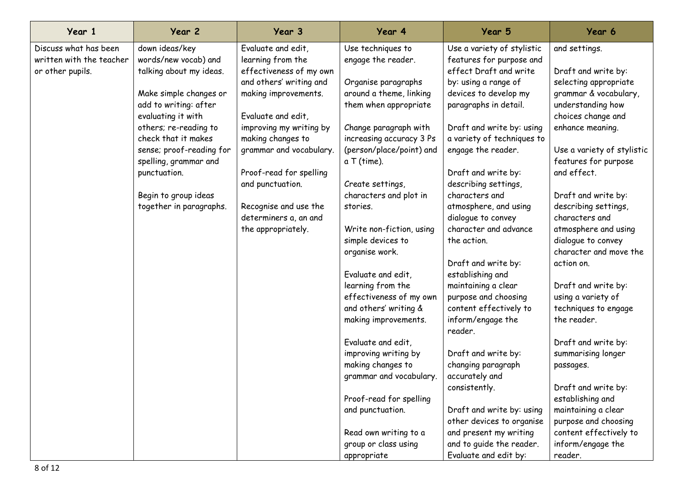| Year 1                   | Year 2                   | Year 3                  | Year 4                   | Year 5                       | Year 6                     |
|--------------------------|--------------------------|-------------------------|--------------------------|------------------------------|----------------------------|
| Discuss what has been    | down ideas/key           | Evaluate and edit,      | Use techniques to        | Use a variety of stylistic   | and settings.              |
| written with the teacher | words/new vocab) and     | learning from the       | engage the reader.       | features for purpose and     |                            |
| or other pupils.         | talking about my ideas.  | effectiveness of my own |                          | effect Draft and write       | Draft and write by:        |
|                          |                          | and others' writing and | Organise paragraphs      | by: using a range of         | selecting appropriate      |
|                          | Make simple changes or   | making improvements.    | around a theme, linking  | devices to develop my        | grammar & vocabulary,      |
|                          | add to writing: after    |                         | them when appropriate    | paragraphs in detail.        | understanding how          |
|                          | evaluating it with       | Evaluate and edit,      |                          |                              | choices change and         |
|                          | others; re-reading to    | improving my writing by | Change paragraph with    | Draft and write by: using    | enhance meaning.           |
|                          | check that it makes      | making changes to       | increasing accuracy 3 Ps | a variety of techniques to   |                            |
|                          | sense; proof-reading for | grammar and vocabulary. | (person/place/point) and | engage the reader.           | Use a variety of stylistic |
|                          | spelling, grammar and    |                         | a T (time).              |                              | features for purpose       |
|                          | punctuation.             | Proof-read for spelling |                          | Draft and write by:          | and effect.                |
|                          |                          | and punctuation.        | Create settings,         | describing settings,         |                            |
|                          | Begin to group ideas     |                         | characters and plot in   | characters and               | Draft and write by:        |
|                          | together in paragraphs.  | Recognise and use the   | stories.                 | atmosphere, and using        | describing settings,       |
|                          |                          | determiners a, an and   |                          | dialogue to convey           | characters and             |
|                          |                          | the appropriately.      | Write non-fiction, using | character and advance        | atmosphere and using       |
|                          |                          |                         | simple devices to        | the action.                  | dialogue to convey         |
|                          |                          |                         | organise work.           |                              | character and move the     |
|                          |                          |                         |                          | Draft and write by:          | action on.                 |
|                          |                          |                         | Evaluate and edit,       | establishing and             |                            |
|                          |                          |                         | learning from the        | maintaining a clear          | Draft and write by:        |
|                          |                          |                         | effectiveness of my own  | purpose and choosing         | using a variety of         |
|                          |                          |                         | and others' writing &    | content effectively to       | techniques to engage       |
|                          |                          |                         | making improvements.     | inform/engage the<br>reader. | the reader.                |
|                          |                          |                         | Evaluate and edit,       |                              | Draft and write by:        |
|                          |                          |                         | improving writing by     | Draft and write by:          | summarising longer         |
|                          |                          |                         | making changes to        | changing paragraph           | passages.                  |
|                          |                          |                         | grammar and vocabulary.  | accurately and               |                            |
|                          |                          |                         |                          | consistently.                | Draft and write by:        |
|                          |                          |                         | Proof-read for spelling  |                              | establishing and           |
|                          |                          |                         | and punctuation.         | Draft and write by: using    | maintaining a clear        |
|                          |                          |                         |                          | other devices to organise    | purpose and choosing       |
|                          |                          |                         | Read own writing to a    | and present my writing       | content effectively to     |
|                          |                          |                         | group or class using     | and to guide the reader.     | inform/engage the          |
|                          |                          |                         | appropriate              | Evaluate and edit by:        | reader.                    |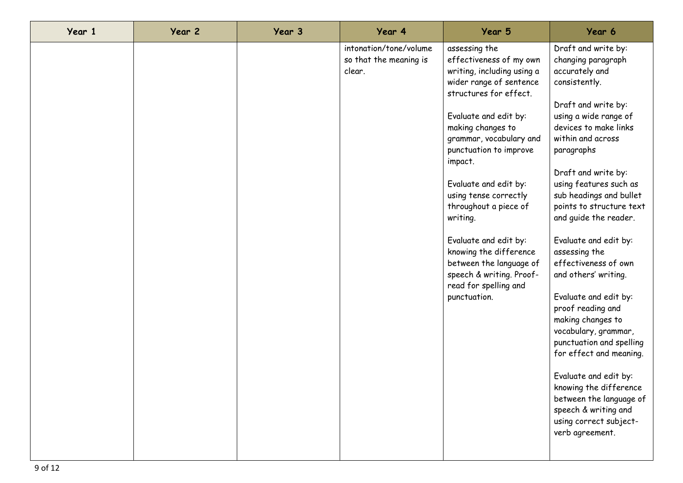| Year 1 | Year 2 | Year 3 | Year 4                                                     | Year 5                                                                                                                                                                                                                                                                                                                                                                                                                                                                              | Year 6                                                                                                                                                                                                                                                                                                                                                                                                                                                                                                                                                                                                                                                                                                                   |
|--------|--------|--------|------------------------------------------------------------|-------------------------------------------------------------------------------------------------------------------------------------------------------------------------------------------------------------------------------------------------------------------------------------------------------------------------------------------------------------------------------------------------------------------------------------------------------------------------------------|--------------------------------------------------------------------------------------------------------------------------------------------------------------------------------------------------------------------------------------------------------------------------------------------------------------------------------------------------------------------------------------------------------------------------------------------------------------------------------------------------------------------------------------------------------------------------------------------------------------------------------------------------------------------------------------------------------------------------|
|        |        |        | intonation/tone/volume<br>so that the meaning is<br>clear. | assessing the<br>effectiveness of my own<br>writing, including using a<br>wider range of sentence<br>structures for effect.<br>Evaluate and edit by:<br>making changes to<br>grammar, vocabulary and<br>punctuation to improve<br>impact.<br>Evaluate and edit by:<br>using tense correctly<br>throughout a piece of<br>writing.<br>Evaluate and edit by:<br>knowing the difference<br>between the language of<br>speech & writing. Proof-<br>read for spelling and<br>punctuation. | Draft and write by:<br>changing paragraph<br>accurately and<br>consistently.<br>Draft and write by:<br>using a wide range of<br>devices to make links<br>within and across<br>paragraphs<br>Draft and write by:<br>using features such as<br>sub headings and bullet<br>points to structure text<br>and guide the reader.<br>Evaluate and edit by:<br>assessing the<br>effectiveness of own<br>and others' writing.<br>Evaluate and edit by:<br>proof reading and<br>making changes to<br>vocabulary, grammar,<br>punctuation and spelling<br>for effect and meaning.<br>Evaluate and edit by:<br>knowing the difference<br>between the language of<br>speech & writing and<br>using correct subject-<br>verb agreement. |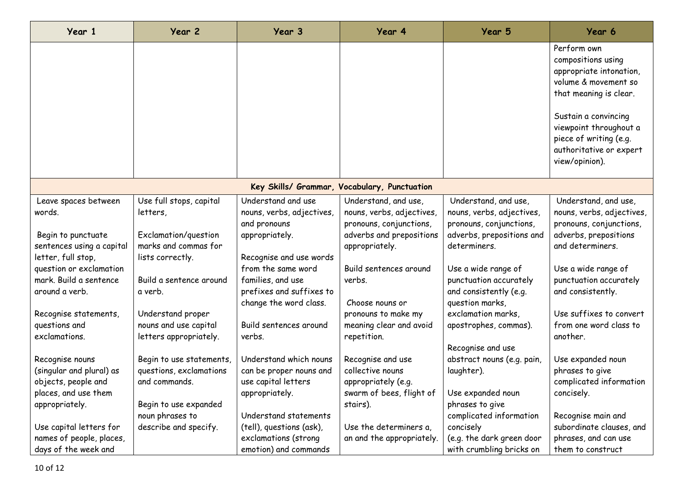| Year 1                                       | Year 2                   | Year 3                    | Year 4                    | Year 5                     | Year 6                                                                                                                                                                                                                                  |  |  |  |
|----------------------------------------------|--------------------------|---------------------------|---------------------------|----------------------------|-----------------------------------------------------------------------------------------------------------------------------------------------------------------------------------------------------------------------------------------|--|--|--|
|                                              |                          |                           |                           |                            | Perform own<br>compositions using<br>appropriate intonation,<br>volume & movement so<br>that meaning is clear.<br>Sustain a convincing<br>viewpoint throughout a<br>piece of writing (e.g.<br>authoritative or expert<br>view/opinion). |  |  |  |
| Key Skills/ Grammar, Vocabulary, Punctuation |                          |                           |                           |                            |                                                                                                                                                                                                                                         |  |  |  |
| Leave spaces between                         | Use full stops, capital  | Understand and use        | Understand, and use,      | Understand, and use,       | Understand, and use,                                                                                                                                                                                                                    |  |  |  |
| words.                                       | letters,                 | nouns, verbs, adjectives, | nouns, verbs, adjectives, | nouns, verbs, adjectives,  | nouns, verbs, adjectives,                                                                                                                                                                                                               |  |  |  |
|                                              |                          | and pronouns              | pronouns, conjunctions,   | pronouns, conjunctions,    | pronouns, conjunctions,                                                                                                                                                                                                                 |  |  |  |
| Begin to punctuate                           | Exclamation/question     | appropriately.            | adverbs and prepositions  | adverbs, prepositions and  | adverbs, prepositions                                                                                                                                                                                                                   |  |  |  |
| sentences using a capital                    | marks and commas for     |                           | appropriately.            | determiners.               | and determiners.                                                                                                                                                                                                                        |  |  |  |
| letter, full stop,                           | lists correctly.         | Recognise and use words   |                           |                            |                                                                                                                                                                                                                                         |  |  |  |
| question or exclamation                      |                          | from the same word        | Build sentences around    | Use a wide range of        | Use a wide range of                                                                                                                                                                                                                     |  |  |  |
| mark. Build a sentence                       | Build a sentence around  | families, and use         | verbs.                    | punctuation accurately     | punctuation accurately                                                                                                                                                                                                                  |  |  |  |
| around a verb.                               | a verb.                  | prefixes and suffixes to  |                           | and consistently (e.g.     | and consistently.                                                                                                                                                                                                                       |  |  |  |
|                                              |                          | change the word class.    | Choose nouns or           | question marks,            |                                                                                                                                                                                                                                         |  |  |  |
| Recognise statements,                        | Understand proper        |                           | pronouns to make my       | exclamation marks,         | Use suffixes to convert                                                                                                                                                                                                                 |  |  |  |
| questions and<br>exclamations.               | nouns and use capital    | Build sentences around    | meaning clear and avoid   | apostrophes, commas).      | from one word class to<br>another.                                                                                                                                                                                                      |  |  |  |
|                                              | letters appropriately.   | verbs.                    | repetition.               | Recognise and use          |                                                                                                                                                                                                                                         |  |  |  |
| Recognise nouns                              | Begin to use statements, | Understand which nouns    | Recognise and use         | abstract nouns (e.g. pain, | Use expanded noun                                                                                                                                                                                                                       |  |  |  |
| (singular and plural) as                     | questions, exclamations  | can be proper nouns and   | collective nouns          | laughter).                 | phrases to give                                                                                                                                                                                                                         |  |  |  |
| objects, people and                          | and commands.            | use capital letters       | appropriately (e.g.       |                            | complicated information                                                                                                                                                                                                                 |  |  |  |
| places, and use them                         |                          | appropriately.            | swarm of bees, flight of  | Use expanded noun          | concisely.                                                                                                                                                                                                                              |  |  |  |
| appropriately.                               | Begin to use expanded    |                           | stairs).                  | phrases to give            |                                                                                                                                                                                                                                         |  |  |  |
|                                              | noun phrases to          | Understand statements     |                           | complicated information    | Recognise main and                                                                                                                                                                                                                      |  |  |  |
| Use capital letters for                      | describe and specify.    | (tell), questions (ask),  | Use the determiners a,    | concisely                  | subordinate clauses, and                                                                                                                                                                                                                |  |  |  |
| names of people, places,                     |                          | exclamations (strong      | an and the appropriately. | (e.g. the dark green door  | phrases, and can use                                                                                                                                                                                                                    |  |  |  |
| days of the week and                         |                          | emotion) and commands     |                           | with crumbling bricks on   | them to construct                                                                                                                                                                                                                       |  |  |  |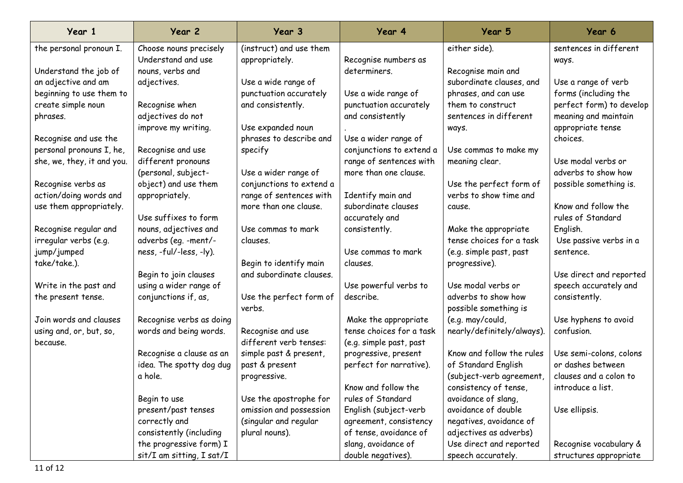| Year 1                     | Year 2                               | Year 3                   | Year 4                   | Year 5                     | Year 6                   |
|----------------------------|--------------------------------------|--------------------------|--------------------------|----------------------------|--------------------------|
| the personal pronoun I.    | Choose nouns precisely               | (instruct) and use them  |                          | either side).              | sentences in different   |
|                            | Understand and use                   | appropriately.           | Recognise numbers as     |                            | ways.                    |
| Understand the job of      | nouns, verbs and                     |                          | determiners.             | Recognise main and         |                          |
| an adjective and am        | adjectives.                          | Use a wide range of      |                          | subordinate clauses, and   | Use a range of verb      |
| beginning to use them to   |                                      | punctuation accurately   | Use a wide range of      | phrases, and can use       | forms (including the     |
| create simple noun         | Recognise when                       | and consistently.        | punctuation accurately   | them to construct          | perfect form) to develop |
| phrases.                   | adjectives do not                    |                          | and consistently         | sentences in different     | meaning and maintain     |
|                            | improve my writing.                  | Use expanded noun        |                          | ways.                      | appropriate tense        |
| Recognise and use the      |                                      | phrases to describe and  | Use a wider range of     |                            | choices.                 |
| personal pronouns I, he,   | Recognise and use                    | specify                  | conjunctions to extend a | Use commas to make my      |                          |
| she, we, they, it and you. | different pronouns                   |                          | range of sentences with  | meaning clear.             | Use modal verbs or       |
|                            | (personal, subject-                  | Use a wider range of     | more than one clause.    |                            | adverbs to show how      |
| Recognise verbs as         | object) and use them                 | conjunctions to extend a |                          | Use the perfect form of    | possible something is.   |
| action/doing words and     | appropriately.                       | range of sentences with  | Identify main and        | verbs to show time and     |                          |
| use them appropriately.    |                                      | more than one clause.    | subordinate clauses      | cause.                     | Know and follow the      |
|                            | Use suffixes to form                 |                          | accurately and           |                            | rules of Standard        |
| Recognise regular and      | nouns, adjectives and                | Use commas to mark       | consistently.            | Make the appropriate       | English.                 |
| irregular verbs (e.g.      | adverbs (eg. -ment/-                 | clauses.                 |                          | tense choices for a task   | Use passive verbs in a   |
| jump/jumped                | ness, -ful/-less, -ly).              |                          | Use commas to mark       | (e.g. simple past, past    | sentence.                |
| take/take.).               |                                      | Begin to identify main   | clauses.                 | progressive).              |                          |
|                            | Begin to join clauses                | and subordinate clauses. |                          |                            | Use direct and reported  |
| Write in the past and      | using a wider range of               |                          | Use powerful verbs to    | Use modal verbs or         | speech accurately and    |
| the present tense.         | conjunctions if, as,                 | Use the perfect form of  | describe.                | adverbs to show how        | consistently.            |
|                            |                                      | verbs.                   |                          | possible something is      |                          |
| Join words and clauses     | Recognise verbs as doing             |                          | Make the appropriate     | (e.g. may/could,           | Use hyphens to avoid     |
| using and, or, but, so,    | words and being words.               | Recognise and use        | tense choices for a task | nearly/definitely/always). | confusion.               |
| because.                   |                                      | different verb tenses:   | (e.g. simple past, past  |                            |                          |
|                            | Recognise a clause as an             | simple past & present,   | progressive, present     | Know and follow the rules  | Use semi-colons, colons  |
|                            | idea. The spotty dog dug             | past & present           | perfect for narrative).  | of Standard English        | or dashes between        |
|                            | a hole.                              | progressive.             |                          | (subject-verb agreement,   | clauses and a colon to   |
|                            |                                      |                          | Know and follow the      | consistency of tense,      | introduce a list.        |
|                            | Begin to use                         | Use the apostrophe for   | rules of Standard        | avoidance of slang,        |                          |
|                            | present/past tenses                  | omission and possession  | English (subject-verb    | avoidance of double        | Use ellipsis.            |
|                            | correctly and                        | (singular and regular    | agreement, consistency   | negatives, avoidance of    |                          |
|                            | consistently (including              | plural nouns).           | of tense, avoidance of   | adjectives as adverbs)     |                          |
|                            | the progressive form) I              |                          | slang, avoidance of      | Use direct and reported    | Recognise vocabulary &   |
|                            | $s$ it/ $I$ am sitting, $I$ sat/ $I$ |                          | double negatives).       | speech accurately.         | structures appropriate   |